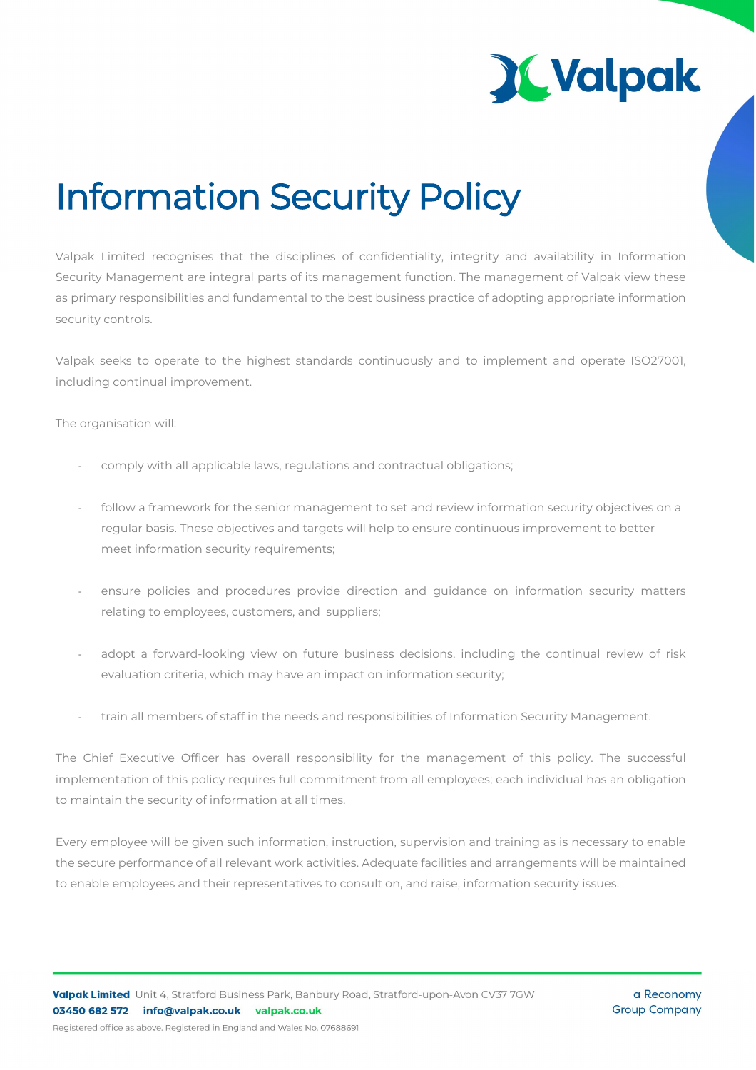

## Information Security Policy

Valpak Limited recognises that the disciplines of confidentiality, integrity and availability in Information Security Management are integral parts of its management function. The management of Valpak view these as primary responsibilities and fundamental to the best business practice of adopting appropriate information security controls.

Valpak seeks to operate to the highest standards continuously and to implement and operate ISO27001, including continual improvement.

The organisation will:

- comply with all applicable laws, regulations and contractual obligations;
- follow a framework for the senior management to set and review information security objectives on a regular basis. These objectives and targets will help to ensure continuous improvement to better meet information security requirements;
- ensure policies and procedures provide direction and guidance on information security matters relating to employees, customers, and suppliers;
- adopt a forward-looking view on future business decisions, including the continual review of risk evaluation criteria, which may have an impact on information security;
- train all members of staff in the needs and responsibilities of Information Security Management.

The Chief Executive Officer has overall responsibility for the management of this policy. The successful implementation of this policy requires full commitment from all employees; each individual has an obligation to maintain the security of information at all times.

Every employee will be given such information, instruction, supervision and training as is necessary to enable the secure performance of all relevant work activities. Adequate facilities and arrangements will be maintained to enable employees and their representatives to consult on, and raise, information security issues.